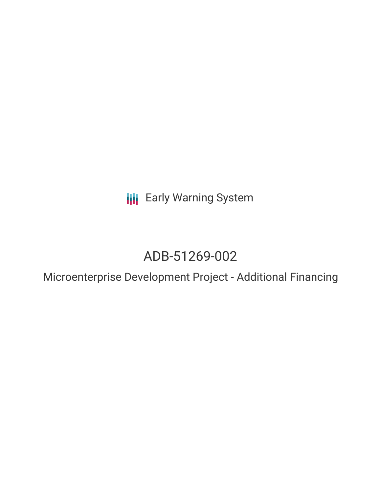**III** Early Warning System

# ADB-51269-002

Microenterprise Development Project - Additional Financing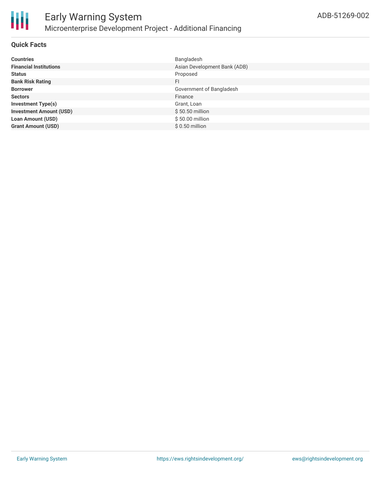

### **Quick Facts**

| <b>Countries</b>               | Bangladesh                   |
|--------------------------------|------------------------------|
| <b>Financial Institutions</b>  | Asian Development Bank (ADB) |
| <b>Status</b>                  | Proposed                     |
| <b>Bank Risk Rating</b>        | FI                           |
| <b>Borrower</b>                | Government of Bangladesh     |
| <b>Sectors</b>                 | Finance                      |
| <b>Investment Type(s)</b>      | Grant, Loan                  |
| <b>Investment Amount (USD)</b> | \$50.50 million              |
| <b>Loan Amount (USD)</b>       | \$50.00 million              |
| <b>Grant Amount (USD)</b>      | $$0.50$ million              |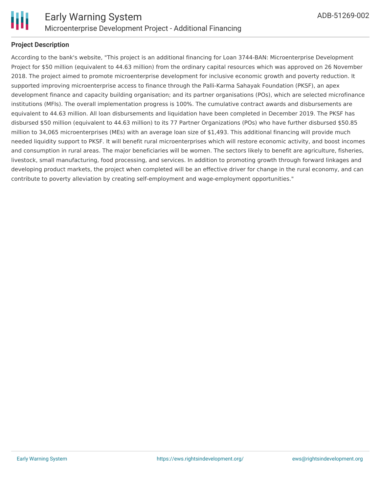

# **Project Description**

According to the bank's website, "This project is an additional financing for Loan 3744-BAN: Microenterprise Development Project for \$50 million (equivalent to 44.63 million) from the ordinary capital resources which was approved on 26 November 2018. The project aimed to promote microenterprise development for inclusive economic growth and poverty reduction. It supported improving microenterprise access to finance through the Palli-Karma Sahayak Foundation (PKSF), an apex development finance and capacity building organisation; and its partner organisations (POs), which are selected microfinance institutions (MFIs). The overall implementation progress is 100%. The cumulative contract awards and disbursements are equivalent to 44.63 million. All loan disbursements and liquidation have been completed in December 2019. The PKSF has disbursed \$50 million (equivalent to 44.63 million) to its 77 Partner Organizations (POs) who have further disbursed \$50.85 million to 34,065 microenterprises (MEs) with an average loan size of \$1,493. This additional financing will provide much needed liquidity support to PKSF. It will benefit rural microenterprises which will restore economic activity, and boost incomes and consumption in rural areas. The major beneficiaries will be women. The sectors likely to benefit are agriculture, fisheries, livestock, small manufacturing, food processing, and services. In addition to promoting growth through forward linkages and developing product markets, the project when completed will be an effective driver for change in the rural economy, and can contribute to poverty alleviation by creating self-employment and wage-employment opportunities."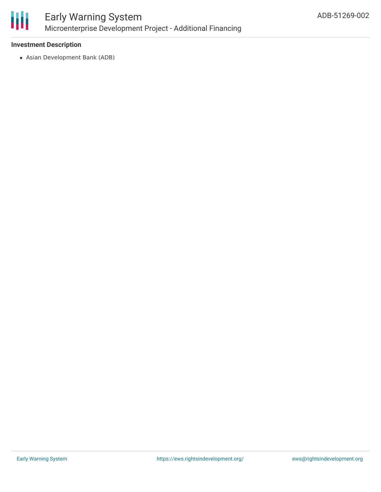

## **Investment Description**

Asian Development Bank (ADB)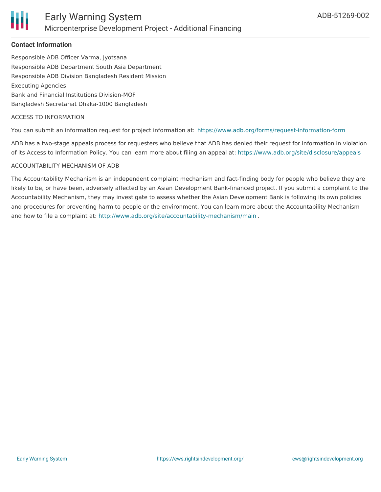

## **Contact Information**

Responsible ADB Officer Varma, Jyotsana Responsible ADB Department South Asia Department Responsible ADB Division Bangladesh Resident Mission Executing Agencies Bank and Financial Institutions Division-MOF Bangladesh Secretariat Dhaka-1000 Bangladesh

#### ACCESS TO INFORMATION

You can submit an information request for project information at: <https://www.adb.org/forms/request-information-form>

ADB has a two-stage appeals process for requesters who believe that ADB has denied their request for information in violation of its Access to Information Policy. You can learn more about filing an appeal at: <https://www.adb.org/site/disclosure/appeals>

#### ACCOUNTABILITY MECHANISM OF ADB

The Accountability Mechanism is an independent complaint mechanism and fact-finding body for people who believe they are likely to be, or have been, adversely affected by an Asian Development Bank-financed project. If you submit a complaint to the Accountability Mechanism, they may investigate to assess whether the Asian Development Bank is following its own policies and procedures for preventing harm to people or the environment. You can learn more about the Accountability Mechanism and how to file a complaint at: <http://www.adb.org/site/accountability-mechanism/main>.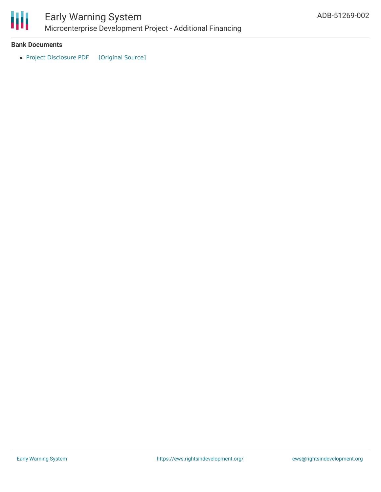

#### **Bank Documents**

• Project [Disclosure](https://ewsdata.rightsindevelopment.org/files/documents/02/ADB-51269-002.pdf) PDF [\[Original](https://www.adb.org/printpdf/projects/51269-002/main) Source]